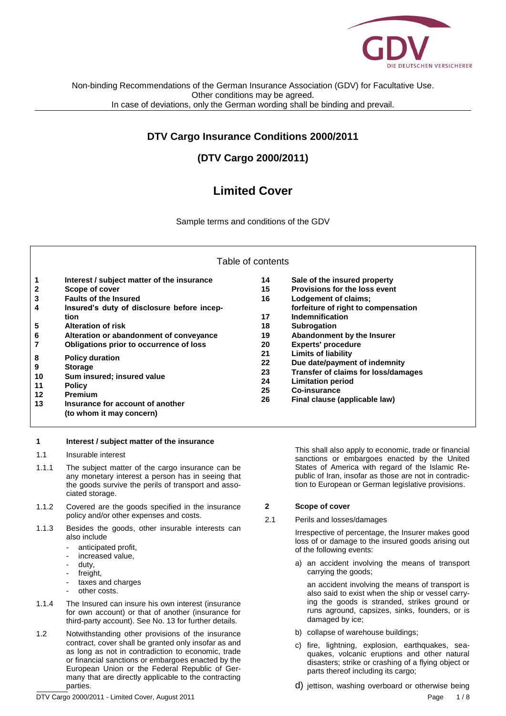

## **DTV Cargo Insurance Conditions 2000/2011**

# **(DTV Cargo 2000/2011)**

# **Limited Cover**

Sample terms and conditions of the GDV

| Table of contents |
|-------------------|
|-------------------|

| 1  | Interest / subject matter of the insurance | 14 | Sale of the insured property        |
|----|--------------------------------------------|----|-------------------------------------|
| 2  | Scope of cover                             | 15 | Provisions for the loss event       |
| 3  | <b>Faults of the Insured</b>               | 16 | Lodgement of claims;                |
| 4  | Insured's duty of disclosure before incep- |    | forfeiture of right to compensation |
|    | tion                                       | 17 | Indemnification                     |
| 5  | <b>Alteration of risk</b>                  | 18 | <b>Subrogation</b>                  |
| 6  | Alteration or abandonment of conveyance    | 19 | Abandonment by the Insurer          |
|    | Obligations prior to occurrence of loss    | 20 | <b>Experts' procedure</b>           |
|    |                                            | 21 | <b>Limits of liability</b>          |
| 8  | <b>Policy duration</b>                     | 22 | Due date/payment of indemnity       |
| 9  | <b>Storage</b>                             | 23 | Transfer of claims for loss/damages |
| 10 | Sum insured; insured value                 | 24 | <b>Limitation period</b>            |
| 11 | <b>Policy</b>                              | 25 | Co-insurance                        |
| 12 | <b>Premium</b>                             | 26 | Final clause (applicable law)       |
| 13 | Insurance for account of another           |    |                                     |
|    | (to whom it may concern)                   |    |                                     |

## **1 Interest / subject matter of the insurance**

- 1.1 Insurable interest
- 1.1.1 The subject matter of the cargo insurance can be any monetary interest a person has in seeing that the goods survive the perils of transport and associated storage.
- 1.1.2 Covered are the goods specified in the insurance policy and/or other expenses and costs.
- 1.1.3 Besides the goods, other insurable interests can also include
	- anticipated profit,
	- increased value,
	- duty,
	- freight,
	- taxes and charges
	- other costs.
- 1.1.4 The Insured can insure his own interest (insurance for own account) or that of another (insurance for third-party account). See No. 13 for further details.
- 1.2 Notwithstanding other provisions of the insurance contract, cover shall be granted only insofar as and as long as not in contradiction to economic, trade or financial sanctions or embargoes enacted by the European Union or the Federal Republic of Germany that are directly applicable to the contracting parties.

This shall also apply to economic, trade or financial sanctions or embargoes enacted by the United States of America with regard of the Islamic Republic of Iran, insofar as those are not in contradiction to European or German legislative provisions.

## **2 Scope of cover**

2.1 Perils and losses/damages

Irrespective of percentage, the Insurer makes good loss of or damage to the insured goods arising out of the following events:

a) an accident involving the means of transport carrying the goods;

an accident involving the means of transport is also said to exist when the ship or vessel carrying the goods is stranded, strikes ground or runs aground, capsizes, sinks, founders, or is damaged by ice;

- b) collapse of warehouse buildings;
- c) fire, lightning, explosion, earthquakes, seaquakes, volcanic eruptions and other natural disasters; strike or crashing of a flying object or parts thereof including its cargo;
- d) jettison, washing overboard or otherwise being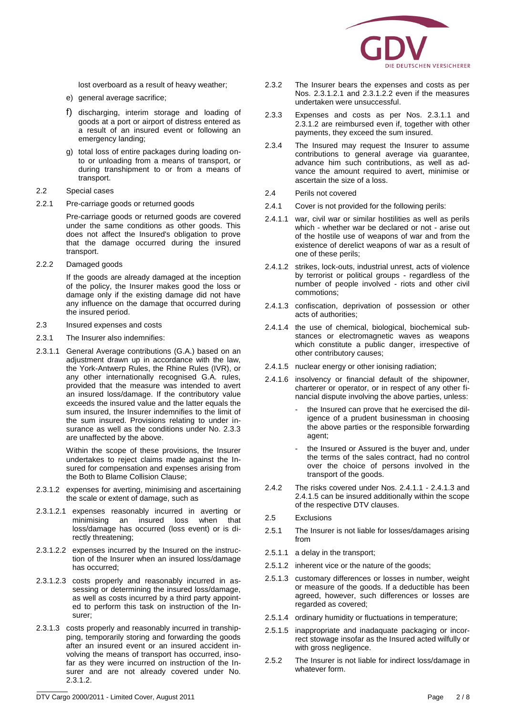

lost overboard as a result of heavy weather;

- e) general average sacrifice;
- f) discharging, interim storage and loading of goods at a port or airport of distress entered as a result of an insured event or following an emergency landing;
- g) total loss of entire packages during loading onto or unloading from a means of transport, or during transhipment to or from a means of transport.
- 2.2 Special cases
- 2.2.1 Pre-carriage goods or returned goods

Pre-carriage goods or returned goods are covered under the same conditions as other goods. This does not affect the Insured's obligation to prove that the damage occurred during the insured transport.

2.2.2 Damaged goods

If the goods are already damaged at the inception of the policy, the Insurer makes good the loss or damage only if the existing damage did not have any influence on the damage that occurred during the insured period.

- 2.3 Insured expenses and costs
- 2.3.1 The Insurer also indemnifies:
- 2.3.1.1 General Average contributions (G.A.) based on an adjustment drawn up in accordance with the law, the York-Antwerp Rules, the Rhine Rules (IVR), or any other internationally recognised G.A. rules, provided that the measure was intended to avert an insured loss/damage. If the contributory value exceeds the insured value and the latter equals the sum insured, the Insurer indemnifies to the limit of the sum insured. Provisions relating to under insurance as well as the conditions under No. 2.3.3 are unaffected by the above.

Within the scope of these provisions, the Insurer undertakes to reject claims made against the Insured for compensation and expenses arising from the Both to Blame Collision Clause;

- 2.3.1.2 expenses for averting, minimising and ascertaining the scale or extent of damage, such as
- 2.3.1.2.1 expenses reasonably incurred in averting or minimising an insured loss when that loss/damage has occurred (loss event) or is directly threatening;
- 2.3.1.2.2 expenses incurred by the Insured on the instruction of the Insurer when an insured loss/damage has occurred;
- 2.3.1.2.3 costs properly and reasonably incurred in assessing or determining the insured loss/damage, as well as costs incurred by a third party appointed to perform this task on instruction of the Insurer;
- 2.3.1.3 costs properly and reasonably incurred in transhipping, temporarily storing and forwarding the goods after an insured event or an insured accident involving the means of transport has occurred, insofar as they were incurred on instruction of the Insurer and are not already covered under No. 2.3.1.2.
- 2.3.2 The Insurer bears the expenses and costs as per Nos. 2.3.1.2.1 and 2.3.1.2.2 even if the measures undertaken were unsuccessful.
- 2.3.3 Expenses and costs as per Nos. 2.3.1.1 and 2.3.1.2 are reimbursed even if, together with other payments, they exceed the sum insured.
- 2.3.4 The Insured may request the Insurer to assume contributions to general average via guarantee, advance him such contributions, as well as advance the amount required to avert, minimise or ascertain the size of a loss.
- 2.4 Perils not covered
- 2.4.1 Cover is not provided for the following perils:
- 2.4.1.1 war, civil war or similar hostilities as well as perils which - whether war be declared or not - arise out of the hostile use of weapons of war and from the existence of derelict weapons of war as a result of one of these perils;
- 2.4.1.2 strikes, lock-outs, industrial unrest, acts of violence by terrorist or political groups - regardless of the number of people involved - riots and other civil commotions;
- 2.4.1.3 confiscation, deprivation of possession or other acts of authorities;
- 2.4.1.4 the use of chemical, biological, biochemical substances or electromagnetic waves as weapons which constitute a public danger, irrespective of other contributory causes;
- 2.4.1.5 nuclear energy or other ionising radiation;
- 2.4.1.6 insolvency or financial default of the shipowner, charterer or operator, or in respect of any other financial dispute involving the above parties, unless:
	- the Insured can prove that he exercised the diligence of a prudent businessman in choosing the above parties or the responsible forwarding agent;
	- the Insured or Assured is the buyer and, under the terms of the sales contract, had no control over the choice of persons involved in the transport of the goods.
- 2.4.2 The risks covered under Nos. 2.4.1.1 2.4.1.3 and 2.4.1.5 can be insured additionally within the scope of the respective DTV clauses.
- 2.5 Exclusions
- 2.5.1 The Insurer is not liable for losses/damages arising from
- 2.5.1.1 a delay in the transport;
- 2.5.1.2 inherent vice or the nature of the goods;
- 2.5.1.3 customary differences or losses in number, weight or measure of the goods. If a deductible has been agreed, however, such differences or losses are regarded as covered;
- 2.5.1.4 ordinary humidity or fluctuations in temperature;
- 2.5.1.5 inappropriate and inadaquate packaging or incorrect stowage insofar as the Insured acted wilfully or with gross negligence.
- 2.5.2 The Insurer is not liable for indirect loss/damage in whatever form.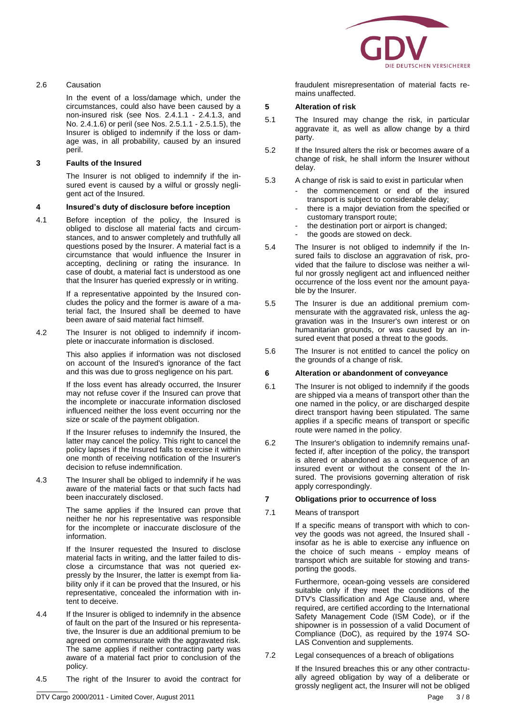

#### 2.6 Causation

In the event of a loss/damage which, under the circumstances, could also have been caused by a non-insured risk (see Nos. 2.4.1.1 - 2.4.1.3, and No. 2.4.1.6) or peril (see Nos. 2.5.1.1 - 2.5.1.5), the Insurer is obliged to indemnify if the loss or damage was, in all probability, caused by an insured peril.

#### **3 Faults of the Insured**

The Insurer is not obliged to indemnify if the insured event is caused by a wilful or grossly negligent act of the Insured.

#### **4 Insured's duty of disclosure before inception**

4.1 Before inception of the policy, the Insured is obliged to disclose all material facts and circumstances, and to answer completely and truthfully all questions posed by the Insurer. A material fact is a circumstance that would influence the Insurer in accepting, declining or rating the insurance. In case of doubt, a material fact is understood as one that the Insurer has queried expressly or in writing.

> If a representative appointed by the Insured concludes the policy and the former is aware of a material fact, the Insured shall be deemed to have been aware of said material fact himself.

4.2 The Insurer is not obliged to indemnify if incomplete or inaccurate information is disclosed.

> This also applies if information was not disclosed on account of the Insured's ignorance of the fact and this was due to gross negligence on his part.

> If the loss event has already occurred, the Insurer may not refuse cover if the Insured can prove that the incomplete or inaccurate information disclosed influenced neither the loss event occurring nor the size or scale of the payment obligation.

> If the Insurer refuses to indemnify the Insured, the latter may cancel the policy. This right to cancel the policy lapses if the Insured falls to exercise it within one month of receiving notification of the Insurer's decision to refuse indemnification.

4.3 The Insurer shall be obliged to indemnify if he was aware of the material facts or that such facts had been inaccurately disclosed.

> The same applies if the Insured can prove that neither he nor his representative was responsible for the incomplete or inaccurate disclosure of the information.

> If the Insurer requested the Insured to disclose material facts in writing, and the latter failed to disclose a circumstance that was not queried expressly by the Insurer, the latter is exempt from liability only if it can be proved that the Insured, or his representative, concealed the information with intent to deceive.

- 4.4 If the Insurer is obliged to indemnify in the absence of fault on the part of the Insured or his representative, the Insurer is due an additional premium to be agreed on commensurate with the aggravated risk. The same applies if neither contracting party was aware of a material fact prior to conclusion of the policy.
- 4.5 The right of the Insurer to avoid the contract for

fraudulent misrepresentation of material facts remains unaffected.

#### **5 Alteration of risk**

- 5.1 The Insured may change the risk, in particular aggravate it, as well as allow change by a third party.
- 5.2 If the Insured alters the risk or becomes aware of a change of risk, he shall inform the Insurer without delay.
- 5.3 A change of risk is said to exist in particular when
	- the commencement or end of the insured transport is subject to considerable delay;
	- there is a major deviation from the specified or customary transport route;
	- the destination port or airport is changed;
	- the goods are stowed on deck.
- 5.4 The Insurer is not obliged to indemnify if the Insured fails to disclose an aggravation of risk, provided that the failure to disclose was neither a wilful nor grossly negligent act and influenced neither occurrence of the loss event nor the amount payable by the Insurer.
- 5.5 The Insurer is due an additional premium commensurate with the aggravated risk, unless the aggravation was in the Insurer's own interest or on humanitarian grounds, or was caused by an insured event that posed a threat to the goods.
- 5.6 The Insurer is not entitled to cancel the policy on the grounds of a change of risk.

#### **6 Alteration or abandonment of conveyance**

- 6.1 The Insurer is not obliged to indemnify if the goods are shipped via a means of transport other than the one named in the policy, or are discharged despite direct transport having been stipulated. The same applies if a specific means of transport or specific route were named in the policy.
- 6.2 The Insurer's obligation to indemnify remains unaffected if, after inception of the policy, the transport is altered or abandoned as a consequence of an insured event or without the consent of the Insured. The provisions governing alteration of risk apply correspondingly.

#### **7 Obligations prior to occurrence of loss**

7.1 Means of transport

If a specific means of transport with which to convey the goods was not agreed, the Insured shall insofar as he is able to exercise any influence on the choice of such means - employ means of transport which are suitable for stowing and transporting the goods.

Furthermore, ocean-going vessels are considered suitable only if they meet the conditions of the DTV's Classification and Age Clause and, where required, are certified according to the International Safety Management Code (ISM Code), or if the shipowner is in possession of a valid Document of Compliance (DoC), as required by the 1974 SO-LAS Convention and supplements.

7.2 Legal consequences of a breach of obligations

If the Insured breaches this or any other contractually agreed obligation by way of a deliberate or grossly negligent act, the Insurer will not be obliged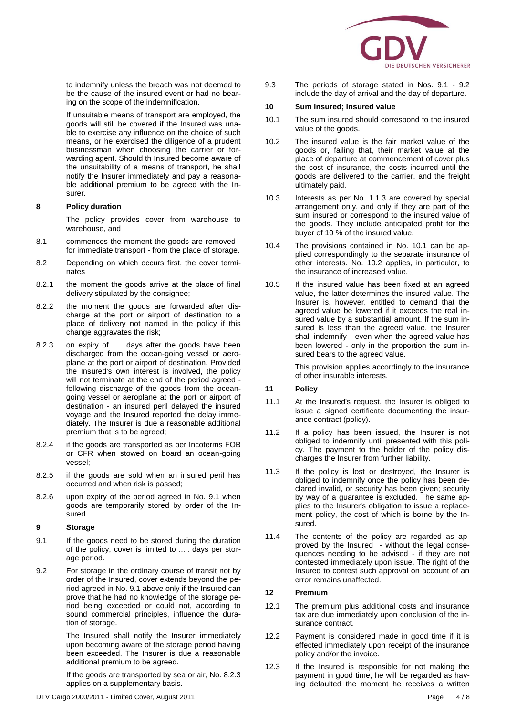

to indemnify unless the breach was not deemed to be the cause of the insured event or had no bearing on the scope of the indemnification.

If unsuitable means of transport are employed, the goods will still be covered if the Insured was unable to exercise any influence on the choice of such means, or he exercised the diligence of a prudent businessman when choosing the carrier or forwarding agent. Should th Insured become aware of the unsuitability of a means of transport, he shall notify the Insurer immediately and pay a reasonable additional premium to be agreed with the Insurer.

#### **8 Policy duration**

The policy provides cover from warehouse to warehouse, and

- 8.1 commences the moment the goods are removed for immediate transport - from the place of storage.
- 8.2 Depending on which occurs first, the cover terminates
- 8.2.1 the moment the goods arrive at the place of final delivery stipulated by the consignee;
- 8.2.2 the moment the goods are forwarded after discharge at the port or airport of destination to a place of delivery not named in the policy if this change aggravates the risk;
- 8.2.3 on expiry of ..... days after the goods have been discharged from the ocean-going vessel or aeroplane at the port or airport of destination. Provided the Insured's own interest is involved, the policy will not terminate at the end of the period agreed following discharge of the goods from the oceangoing vessel or aeroplane at the port or airport of destination - an insured peril delayed the insured voyage and the Insured reported the delay immediately. The Insurer is due a reasonable additional premium that is to be agreed;
- 8.2.4 if the goods are transported as per Incoterms FOB or CFR when stowed on board an ocean-going vessel;
- 8.2.5 if the goods are sold when an insured peril has occurred and when risk is passed;
- 8.2.6 upon expiry of the period agreed in No. 9.1 when goods are temporarily stored by order of the Insured.

#### **9 Storage**

- 9.1 If the goods need to be stored during the duration of the policy, cover is limited to ..... days per storage period.
- 9.2 For storage in the ordinary course of transit not by order of the Insured, cover extends beyond the period agreed in No. 9.1 above only if the Insured can prove that he had no knowledge of the storage period being exceeded or could not, according to sound commercial principles, influence the duration of storage.

The Insured shall notify the Insurer immediately upon becoming aware of the storage period having been exceeded. The Insurer is due a reasonable additional premium to be agreed.

If the goods are transported by sea or air, No. 8.2.3 applies on a supplementary basis.

9.3 The periods of storage stated in Nos. 9.1 - 9.2 include the day of arrival and the day of departure.

#### **10 Sum insured; insured value**

- 10.1 The sum insured should correspond to the insured value of the goods.
- 10.2 The insured value is the fair market value of the goods or, failing that, their market value at the place of departure at commencement of cover plus the cost of insurance, the costs incurred until the goods are delivered to the carrier, and the freight ultimately paid.
- 10.3 Interests as per No. 1.1.3 are covered by special arrangement only, and only if they are part of the sum insured or correspond to the insured value of the goods. They include anticipated profit for the buyer of 10 % of the insured value.
- 10.4 The provisions contained in No. 10.1 can be applied correspondingly to the separate insurance of other interests. No. 10.2 applies, in particular, to the insurance of increased value.
- 10.5 If the insured value has been fixed at an agreed value, the latter determines the insured value. The Insurer is, however, entitled to demand that the agreed value be lowered if it exceeds the real insured value by a substantial amount. If the sum insured is less than the agreed value, the Insurer shall indemnify - even when the agreed value has been lowered - only in the proportion the sum insured bears to the agreed value.

This provision applies accordingly to the insurance of other insurable interests.

## **11 Policy**

- 11.1 At the Insured's request, the Insurer is obliged to issue a signed certificate documenting the insurance contract (policy).
- 11.2 If a policy has been issued, the Insurer is not obliged to indemnify until presented with this policy. The payment to the holder of the policy discharges the Insurer from further liability.
- 11.3 If the policy is lost or destroyed, the Insurer is obliged to indemnify once the policy has been declared invalid, or security has been given; security by way of a guarantee is excluded. The same applies to the Insurer's obligation to issue a replacement policy, the cost of which is borne by the Insured.
- 11.4 The contents of the policy are regarded as approved by the Insured - without the legal consequences needing to be advised - if they are not contested immediately upon issue. The right of the Insured to contest such approval on account of an error remains unaffected.

#### **12 Premium**

- 12.1 The premium plus additional costs and insurance tax are due immediately upon conclusion of the insurance contract.
- 12.2 Payment is considered made in good time if it is effected immediately upon receipt of the insurance policy and/or the invoice.
- 12.3 If the Insured is responsible for not making the payment in good time, he will be regarded as having defaulted the moment he receives a written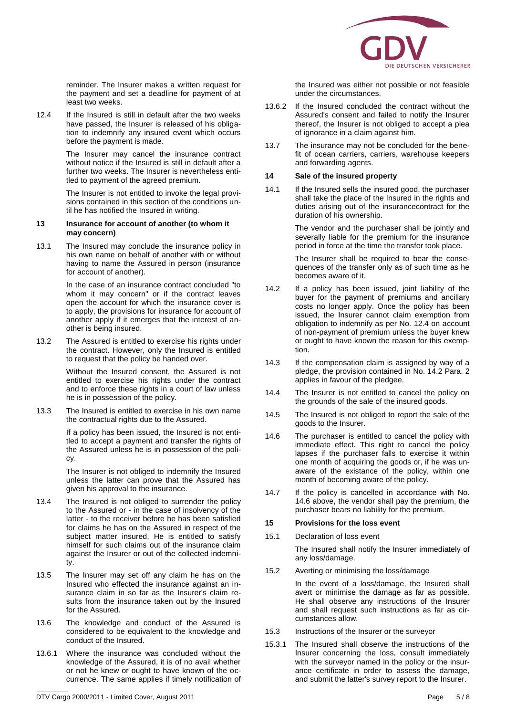

reminder. The Insurer makes a written request for the payment and set a deadline for payment of at least two weeks.

12.4 If the Insured is still in default after the two weeks have passed, the Insurer is released of his obligation to indemnify any insured event which occurs before the payment is made.

> The Insurer may cancel the insurance contract without notice if the Insured is still in default after a further two weeks. The Insurer is nevertheless entitled to payment of the agreed premium.

> The Insurer is not entitled to invoke the legal provisions contained in this section of the conditions until he has notified the Insured in writing.

#### **13 Insurance for account of another (to whom it may concern)**

13.1 The Insured may conclude the insurance policy in his own name on behalf of another with or without having to name the Assured in person (insurance for account of another).

> In the case of an insurance contract concluded "to whom it may concern" or if the contract leaves open the account for which the insurance cover is to apply, the provisions for insurance for account of another apply if it emerges that the interest of another is being insured.

13.2 The Assured is entitled to exercise his rights under the contract. However, only the Insured is entitled to request that the policy be handed over.

> Without the Insured consent, the Assured is not entitled to exercise his rights under the contract and to enforce these rights in a court of law unless he is in possession of the policy.

13.3 The Insured is entitled to exercise in his own name the contractual rights due to the Assured.

> If a policy has been issued, the Insured is not entitled to accept a payment and transfer the rights of the Assured unless he is in possession of the policy.

> The Insurer is not obliged to indemnify the Insured unless the latter can prove that the Assured has given his approval to the insurance.

- 13.4 The Insured is not obliged to surrender the policy to the Assured or - in the case of insolvency of the latter - to the receiver before he has been satisfied for claims he has on the Assured in respect of the subject matter insured. He is entitled to satisfy himself for such claims out of the insurance claim against the Insurer or out of the collected indemnity.
- 13.5 The Insurer may set off any claim he has on the Insured who effected the insurance against an insurance claim in so far as the Insurer's claim results from the insurance taken out by the Insured for the Assured.
- 13.6 The knowledge and conduct of the Assured is considered to be equivalent to the knowledge and conduct of the Insured.
- 13.6.1 Where the insurance was concluded without the knowledge of the Assured, it is of no avail whether or not he knew or ought to have known of the occurrence. The same applies if timely notification of

the Insured was either not possible or not feasible under the circumstances.

- 13.6.2 If the Insured concluded the contract without the Assured's consent and failed to notify the Insurer thereof, the Insurer is not obliged to accept a plea of ignorance in a claim against him.
- 13.7 The insurance may not be concluded for the benefit of ocean carriers, carriers, warehouse keepers and forwarding agents.

## **14 Sale of the insured property**

14.1 If the Insured sells the insured good, the purchaser shall take the place of the Insured in the rights and duties arising out of the insurancecontract for the duration of his ownership.

> The vendor and the purchaser shall be jointly and severally liable for the premium for the insurance period in force at the time the transfer took place.

> The Insurer shall be required to bear the consequences of the transfer only as of such time as he becomes aware of it.

- 14.2 If a policy has been issued, joint liability of the buyer for the payment of premiums and ancillary costs no longer apply. Once the policy has been issued, the Insurer cannot claim exemption from obligation to indemnify as per No. 12.4 on account of non-payment of premium unless the buyer knew or ought to have known the reason for this exemption.
- 14.3 If the compensation claim is assigned by way of a pledge, the provision contained in No. 14.2 Para. 2 applies in favour of the pledgee.
- 14.4 The Insurer is not entitled to cancel the policy on the grounds of the sale of the insured goods.
- 14.5 The Insured is not obliged to report the sale of the goods to the Insurer.
- 14.6 The purchaser is entitled to cancel the policy with immediate effect. This right to cancel the policy lapses if the purchaser falls to exercise it within one month of acquiring the goods or, if he was unaware of the existance of the policy, within one month of becoming aware of the policy.
- 14.7 If the policy is cancelled in accordance with No. 14.6 above, the vendor shall pay the premium, the purchaser bears no liability for the premium.

### **15 Provisions for the loss event**

15.1 Declaration of loss event

The Insured shall notify the Insurer immediately of any loss/damage.

15.2 Averting or minimising the loss/damage

In the event of a loss/damage, the Insured shall avert or minimise the damage as far as possible. He shall observe any instructions of the Insurer and shall request such instructions as far as circumstances allow.

- 15.3 Instructions of the Insurer or the surveyor
- 15.3.1 The Insured shall observe the instructions of the Insurer concerning the loss, consult immediately with the surveyor named in the policy or the insurance certificate in order to assess the damage, and submit the latter's survey report to the Insurer.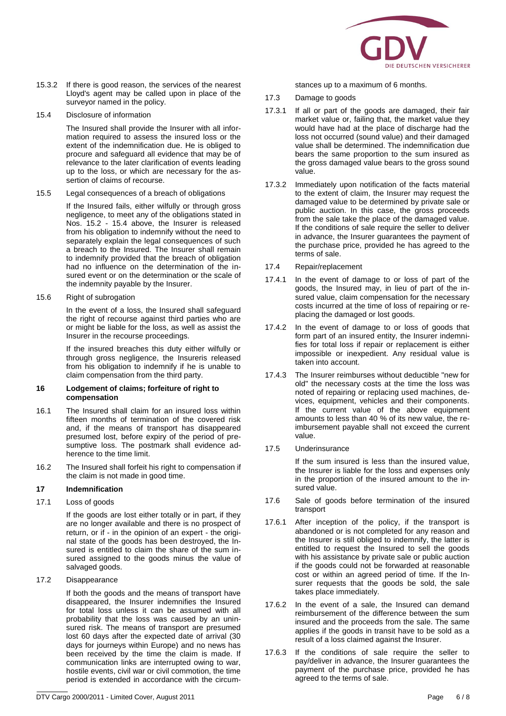

- 15.3.2 If there is good reason, the services of the nearest Lloyd's agent may be called upon in place of the surveyor named in the policy.
- 15.4 Disclosure of information

The Insured shall provide the Insurer with all information required to assess the insured loss or the extent of the indemnification due. He is obliged to procure and safeguard all evidence that may be of relevance to the later clarification of events leading up to the loss, or which are necessary for the assertion of claims of recourse.

15.5 Legal consequences of a breach of obligations

If the Insured fails, either wilfully or through gross negligence, to meet any of the obligations stated in Nos. 15.2 - 15.4 above, the Insurer is released from his obligation to indemnify without the need to separately explain the legal consequences of such a breach to the Insured. The Insurer shall remain to indemnify provided that the breach of obligation had no influence on the determination of the insured event or on the determination or the scale of the indemnity payable by the Insurer.

15.6 Right of subrogation

In the event of a loss, the Insured shall safeguard the right of recourse against third parties who are or might be liable for the loss, as well as assist the Insurer in the recourse proceedings.

If the insured breaches this duty either wilfully or through gross negligence, the Insureris released from his obligation to indemnify if he is unable to claim compensation from the third party.

#### **16 Lodgement of claims; forfeiture of right to compensation**

- 16.1 The Insured shall claim for an insured loss within fifteen months of termination of the covered risk and, if the means of transport has disappeared presumed lost, before expiry of the period of presumptive loss. The postmark shall evidence adherence to the time limit.
- 16.2 The Insured shall forfeit his right to compensation if the claim is not made in good time.

#### **17 Indemnification**

17.1 Loss of goods

If the goods are lost either totally or in part, if they are no longer available and there is no prospect of return, or if - in the opinion of an expert - the original state of the goods has been destroyed, the Insured is entitled to claim the share of the sum insured assigned to the goods minus the value of salvaged goods.

17.2 Disappearance

If both the goods and the means of transport have disappeared, the Insurer indemnifies the Insured for total loss unless it can be assumed with all probability that the loss was caused by an uninsured risk. The means of transport are presumed lost 60 days after the expected date of arrival (30 days for journeys within Europe) and no news has been received by the time the claim is made. If communication links are interrupted owing to war, hostile events, civil war or civil commotion, the time period is extended in accordance with the circumstances up to a maximum of 6 months.

- 17.3 Damage to goods
- 17.3.1 If all or part of the goods are damaged, their fair market value or, failing that, the market value they would have had at the place of discharge had the loss not occurred (sound value) and their damaged value shall be determined. The indemnification due bears the same proportion to the sum insured as the gross damaged value bears to the gross sound value.
- 17.3.2 Immediately upon notification of the facts material to the extent of claim, the Insurer may request the damaged value to be determined by private sale or public auction. In this case, the gross proceeds from the sale take the place of the damaged value. If the conditions of sale require the seller to deliver in advance, the Insurer guarantees the payment of the purchase price, provided he has agreed to the terms of sale.
- 17.4 Repair/replacement
- 17.4.1 In the event of damage to or loss of part of the goods, the Insured may, in lieu of part of the insured value, claim compensation for the necessary costs incurred at the time of loss of repairing or replacing the damaged or lost goods.
- 17.4.2 In the event of damage to or loss of goods that form part of an insured entity, the Insurer indemnifies for total loss if repair or replacement is either impossible or inexpedient. Any residual value is taken into account.
- 17.4.3 The Insurer reimburses without deductible "new for old" the necessary costs at the time the loss was noted of repairing or replacing used machines, devices, equipment, vehicles and their components. If the current value of the above equipment amounts to less than 40 % of its new value, the reimbursement payable shall not exceed the current value.
- 17.5 Underinsurance

If the sum insured is less than the insured value, the Insurer is liable for the loss and expenses only in the proportion of the insured amount to the insured value.

- 17.6 Sale of goods before termination of the insured transport
- 17.6.1 After inception of the policy, if the transport is abandoned or is not completed for any reason and the Insurer is still obliged to indemnify, the latter is entitled to request the Insured to sell the goods with his assistance by private sale or public auction if the goods could not be forwarded at reasonable cost or within an agreed period of time. If the Insurer requests that the goods be sold, the sale takes place immediately.
- 17.6.2 In the event of a sale, the Insured can demand reimbursement of the difference between the sum insured and the proceeds from the sale. The same applies if the goods in transit have to be sold as a result of a loss claimed against the Insurer.
- 17.6.3 If the conditions of sale require the seller to pay/deliver in advance, the Insurer guarantees the payment of the purchase price, provided he has agreed to the terms of sale.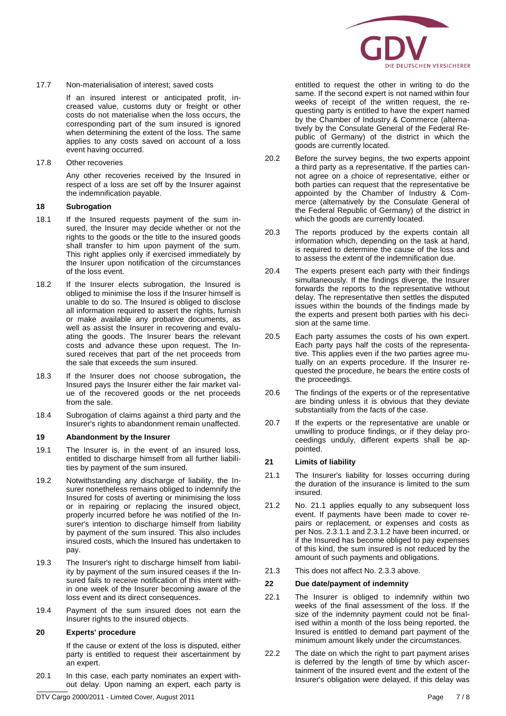

#### 17.7 Non-materialisation of interest; saved costs

If an insured interest or anticipated profit, increased value, customs duty or freight or other costs do not materialise when the loss occurs, the corresponding part of the sum insured is ignored when determining the extent of the loss. The same applies to any costs saved on account of a loss event having occurred.

17.8 Other recoveries

Any other recoveries received by the Insured in respect of a loss are set off by the Insurer against the indemnification payable.

#### **18 Subrogation**

- 18.1 If the Insured requests payment of the sum insured, the Insurer may decide whether or not the rights to the goods or the title to the insured goods shall transfer to him upon payment of the sum. This right applies only if exercised immediately by the Insurer upon notification of the circumstances of the loss event.
- 18.2 If the Insurer elects subrogation, the Insured is obliged to minimise the loss if the Insurer himself is unable to do so. The Insured is obliged to disclose all information required to assert the rights, furnish or make available any probative documents, as well as assist the Insurer in recovering and evaluating the goods. The Insurer bears the relevant costs and advance these upon request. The Insured receives that part of the net proceeds from the sale that exceeds the sum insured.
- 18.3 If the Insurer does not choose subrogation**,** the Insured pays the Insurer either the fair market value of the recovered goods or the net proceeds from the sale.
- 18.4 Subrogation of claims against a third party and the Insurer's rights to abandonment remain unaffected.

#### **19 Abandonment by the Insurer**

- 19.1 The Insurer is, in the event of an insured loss, entitled to discharge himself from all further liabilities by payment of the sum insured.
- 19.2 Notwithstanding any discharge of liability, the Insurer nonetheless remains obliged to indemnify the Insured for costs of averting or minimising the loss or in repairing or replacing the insured object, properly incurred before he was notified of the Insurer's intention to discharge himself from liability by payment of the sum insured. This also includes insured costs, which the Insured has undertaken to pay.
- 19.3 The Insurer's right to discharge himself from liability by payment of the sum insured ceases if the Insured fails to receive notification of this intent within one week of the Insurer becoming aware of the loss event and its direct consequences.
- 19.4 Payment of the sum insured does not earn the Insurer rights to the insured objects.

#### **20 Experts' procedure**

If the cause or extent of the loss is disputed, either party is entitled to request their ascertainment by an expert.

20.1 In this case, each party nominates an expert without delay. Upon naming an expert, each party is

entitled to request the other in writing to do the same. If the second expert is not named within four weeks of receipt of the written request, the requesting party is entitled to have the expert named by the Chamber of Industry & Commerce (alternatively by the Consulate General of the Federal Republic of Germany) of the district in which the goods are currently located.

- 20.2 Before the survey begins, the two experts appoint a third party as a representative. If the parties cannot agree on a choice of representative, either or both parties can request that the representative be appointed by the Chamber of Industry & Commerce (alternatively by the Consulate General of the Federal Republic of Germany) of the district in which the goods are currently located.
- 20.3 The reports produced by the experts contain all information which, depending on the task at hand, is required to determine the cause of the loss and to assess the extent of the indemnification due.
- 20.4 The experts present each party with their findings simultaneously. If the findings diverge, the Insurer forwards the reports to the representative without delay. The representative then settles the disputed issues within the bounds of the findings made by the experts and present both parties with his decision at the same time.
- 20.5 Each party assumes the costs of his own expert. Each party pays half the costs of the representative. This applies even if the two parties agree mutually on an experts procedure. If the Insurer requested the procedure, he bears the entire costs of the proceedings.
- 20.6 The findings of the experts or of the representative are binding unless it is obvious that they deviate substantially from the facts of the case.
- 20.7 If the experts or the representative are unable or unwilling to produce findings, or if they delay proceedings unduly, different experts shall be appointed.

## **21 Limits of liability**

- 21.1 The Insurer's liability for losses occurring during the duration of the insurance is limited to the sum insured.
- 21.2 No. 21.1 applies equally to any subsequent loss event. If payments have been made to cover repairs or replacement, or expenses and costs as per Nos. 2.3.1.1 and 2.3.1.2 have been incurred, or if the Insured has become obliged to pay expenses of this kind, the sum insured is not reduced by the amount of such payments and obligations.
- 21.3 This does not affect No. 2.3.3 above.

#### **22 Due date/payment of indemnity**

- 22.1 The Insurer is obliged to indemnify within two weeks of the final assessment of the loss. If the size of the indemnity payment could not be finalised within a month of the loss being reported, the Insured is entitled to demand part payment of the minimum amount likely under the circumstances.
- 22.2 The date on which the right to part payment arises is deferred by the length of time by which ascertainment of the insured event and the extent of the Insurer's obligation were delayed, if this delay was